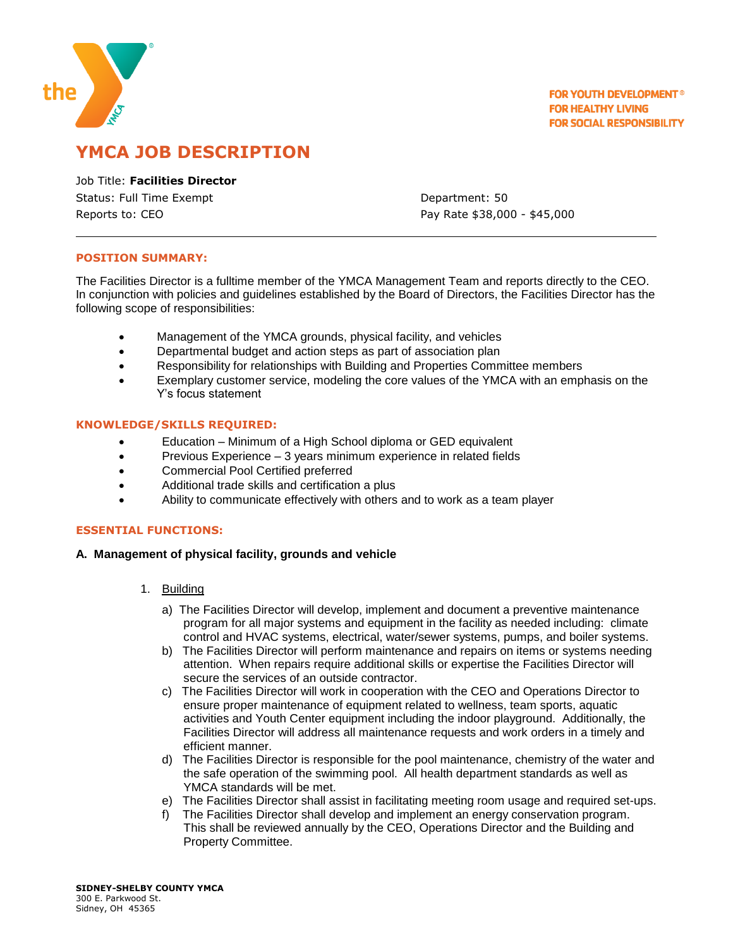

**FOR YOUTH DEVELOPMENT® FOR HEALTHY LIVING FOR SOCIAL RESPONSIBILITY** 

# **YMCA JOB DESCRIPTION**

Job Title: **Facilities Director** Status: Full Time Exempt **Department: 50** Reports to: CEO **Pay Rate \$38,000 - \$45,000** 

## **POSITION SUMMARY:**

The Facilities Director is a fulltime member of the YMCA Management Team and reports directly to the CEO. In conjunction with policies and guidelines established by the Board of Directors, the Facilities Director has the following scope of responsibilities:

- Management of the YMCA grounds, physical facility, and vehicles
- Departmental budget and action steps as part of association plan
- Responsibility for relationships with Building and Properties Committee members
- Exemplary customer service, modeling the core values of the YMCA with an emphasis on the Y's focus statement

#### **KNOWLEDGE/SKILLS REQUIRED:**

- Education Minimum of a High School diploma or GED equivalent
- Previous Experience 3 years minimum experience in related fields
- Commercial Pool Certified preferred
- Additional trade skills and certification a plus
- Ability to communicate effectively with others and to work as a team player

## **ESSENTIAL FUNCTIONS:**

#### **A. Management of physical facility, grounds and vehicle**

- 1. Building
	- a) The Facilities Director will develop, implement and document a preventive maintenance program for all major systems and equipment in the facility as needed including: climate control and HVAC systems, electrical, water/sewer systems, pumps, and boiler systems.
	- b) The Facilities Director will perform maintenance and repairs on items or systems needing attention. When repairs require additional skills or expertise the Facilities Director will secure the services of an outside contractor.
	- c) The Facilities Director will work in cooperation with the CEO and Operations Director to ensure proper maintenance of equipment related to wellness, team sports, aquatic activities and Youth Center equipment including the indoor playground. Additionally, the Facilities Director will address all maintenance requests and work orders in a timely and efficient manner.
	- d) The Facilities Director is responsible for the pool maintenance, chemistry of the water and the safe operation of the swimming pool. All health department standards as well as YMCA standards will be met.
	- e) The Facilities Director shall assist in facilitating meeting room usage and required set-ups.
	- f) The Facilities Director shall develop and implement an energy conservation program. This shall be reviewed annually by the CEO, Operations Director and the Building and Property Committee.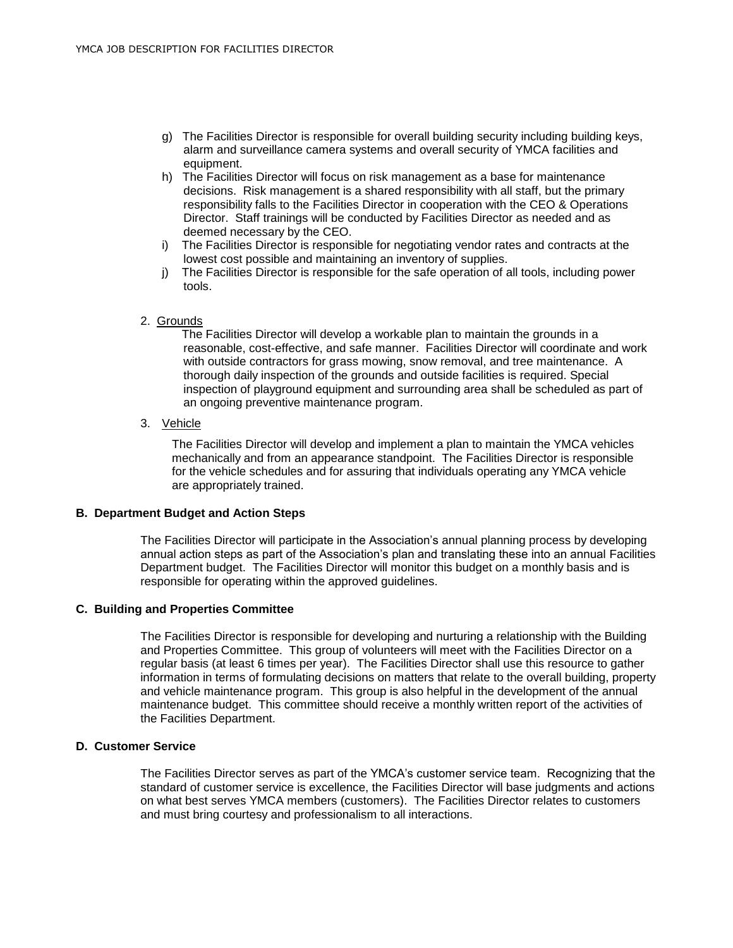- g) The Facilities Director is responsible for overall building security including building keys, alarm and surveillance camera systems and overall security of YMCA facilities and equipment.
- h) The Facilities Director will focus on risk management as a base for maintenance decisions. Risk management is a shared responsibility with all staff, but the primary responsibility falls to the Facilities Director in cooperation with the CEO & Operations Director. Staff trainings will be conducted by Facilities Director as needed and as deemed necessary by the CEO.
- i) The Facilities Director is responsible for negotiating vendor rates and contracts at the lowest cost possible and maintaining an inventory of supplies.
- j) The Facilities Director is responsible for the safe operation of all tools, including power tools.
- 2. Grounds

 The Facilities Director will develop a workable plan to maintain the grounds in a reasonable, cost-effective, and safe manner. Facilities Director will coordinate and work with outside contractors for grass mowing, snow removal, and tree maintenance. A thorough daily inspection of the grounds and outside facilities is required. Special inspection of playground equipment and surrounding area shall be scheduled as part of an ongoing preventive maintenance program.

3. Vehicle

 The Facilities Director will develop and implement a plan to maintain the YMCA vehicles mechanically and from an appearance standpoint. The Facilities Director is responsible for the vehicle schedules and for assuring that individuals operating any YMCA vehicle are appropriately trained.

## **B. Department Budget and Action Steps**

The Facilities Director will participate in the Association's annual planning process by developing annual action steps as part of the Association's plan and translating these into an annual Facilities Department budget. The Facilities Director will monitor this budget on a monthly basis and is responsible for operating within the approved guidelines.

## **C. Building and Properties Committee**

The Facilities Director is responsible for developing and nurturing a relationship with the Building and Properties Committee. This group of volunteers will meet with the Facilities Director on a regular basis (at least 6 times per year). The Facilities Director shall use this resource to gather information in terms of formulating decisions on matters that relate to the overall building, property and vehicle maintenance program. This group is also helpful in the development of the annual maintenance budget. This committee should receive a monthly written report of the activities of the Facilities Department.

## **D. Customer Service**

The Facilities Director serves as part of the YMCA's customer service team. Recognizing that the standard of customer service is excellence, the Facilities Director will base judgments and actions on what best serves YMCA members (customers). The Facilities Director relates to customers and must bring courtesy and professionalism to all interactions.